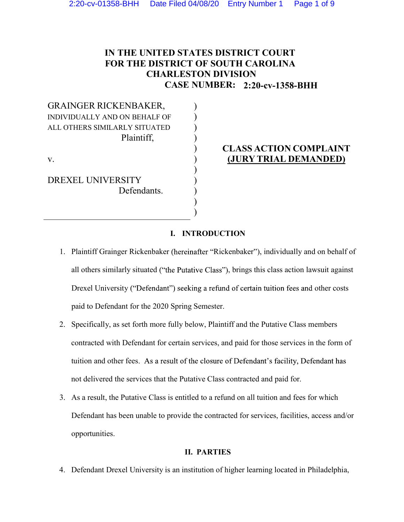# IN THE UNITED STATES DISTRICT COURT FOR THE DISTRICT OF SOUTH CAROLINA CHARLESTON DIVISION CASE NUMBER: **2:20-cv-1358-BHH**

 $)$  $)$  $)$  $)$ 

 $)$  $)$  $)$  $)$  $)$ 

GRAINGER RICKENBAKER, INDIVIDUALLY AND ON BEHALF OF ALL OTHERS SIMILARLY SITUATED Plaintiff,

v.

DREXEL UNIVERSITY Defendants.

# ) CLASS ACTION COMPLAINT ) (JURY TRIAL DEMANDED)

## I. INTRODUCTION

- 1. Plaintiff Grainger Rickenbaker (hereinafter "Rickenbaker"), individually and on behalf of all others similarly situated ("the Putative Class"), brings this class action lawsuit against Drexel University ("Defendant") seeking a refund of certain tuition fees and other costs paid to Defendant for the 2020 Spring Semester.
- 2. Specifically, as set forth more fully below, Plaintiff and the Putative Class members contracted with Defendant for certain services, and paid for those services in the form of tuition and other fees. As a result of the closure of Defendant's facility, Defendant has not delivered the services that the Putative Class contracted and paid for.
- 3. As a result, the Putative Class is entitled to a refund on all tuition and fees for which Defendant has been unable to provide the contracted for services, facilities, access and/or opportunities.

## II. PARTIES

4. Defendant Drexel University is an institution of higher learning located in Philadelphia,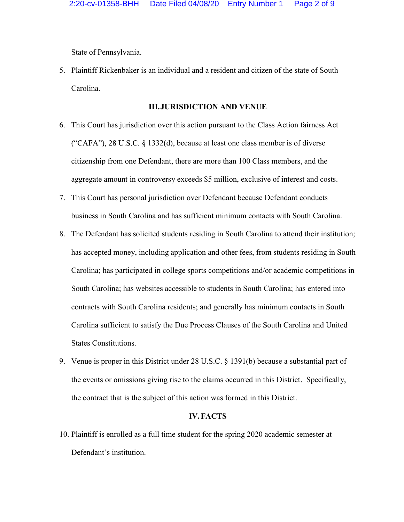State of Pennsylvania.

5. Plaintiff Rickenbaker is an individual and a resident and citizen of the state of South Carolina.

#### III.JURISDICTION AND VENUE

- 6. This Court has jurisdiction over this action pursuant to the Class Action fairness Act ("CAFA"), 28 U.S.C.  $\S$  1332(d), because at least one class member is of diverse citizenship from one Defendant, there are more than 100 Class members, and the aggregate amount in controversy exceeds \$5 million, exclusive of interest and costs. 7. This Court has personal jurisdiction over Defendant because Defendant conducts
- business in South Carolina and has sufficient minimum contacts with South Carolina.
- 8. The Defendant has solicited students residing in South Carolina to attend their institution; has accepted money, including application and other fees, from students residing in South Carolina; has participated in college sports competitions and/or academic competitions in South Carolina; has websites accessible to students in South Carolina; has entered into contracts with South Carolina residents; and generally has minimum contacts in South Carolina sufficient to satisfy the Due Process Clauses of the South Carolina and United States Constitutions.<br>
9. Venue is proper in this District under 28 U.S.C. § 1391(b) because a substantial part of
- the events or omissions giving rise to the claims occurred in this District. Specifically, the contract that is the subject of this action was formed in this District.

#### IV.FACTS

10. Plaintiff is enrolled as a full time student for the spring 2020 academic semester at Defendant's institution.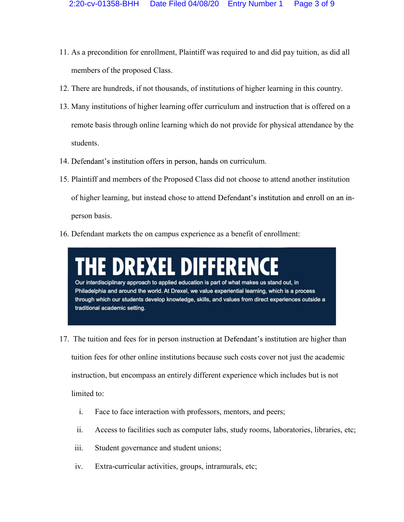- 11. As a precondition for enrollment, Plaintiff was required to and did pay tuition, as did all members of the proposed Class.<br>12. There are hundreds, if not thousands, of institutions of higher learning in this country.
- 
- 13. Many institutions of higher learning offer curriculum and instruction that is offered on a remote basis through online learning which do not provide for physical attendance by the students.<br>
14. Defendant's institution offers in person, hands on curriculum.<br>
15. Plaintiff and members of the Proposed Class did not choose to attend another institution
- 
- of higher learning, but instead chose to attend Defendant's institution and enroll on an in-
- person basis. 16. Defendant markets the on campus experience as a benefit of enrollment:

E DREXEL DIFFEREN Our interdisciplinary approach to applied education is part of what makes us stand out, in Philadelphia and around the world. At Drexel, we value experiential learning, which is a process through which our students develop knowledge, skills, and values from direct experiences outside a traditional academic setting.

- 17. The tuition and fees for in person instruction are higher than tuition fees for other online institutions because such costs cover not just the academic instruction, but encompass an entirely different experience which includes but is not limited to:
	- i. Face to face interaction with professors, mentors, and peers;
	- ii. Access to facilities such as computer labs, study rooms, laboratories, libraries, etc;
	- iii. Student governance and student unions;
	- iv. Extra-curricular activities, groups, intramurals, etc;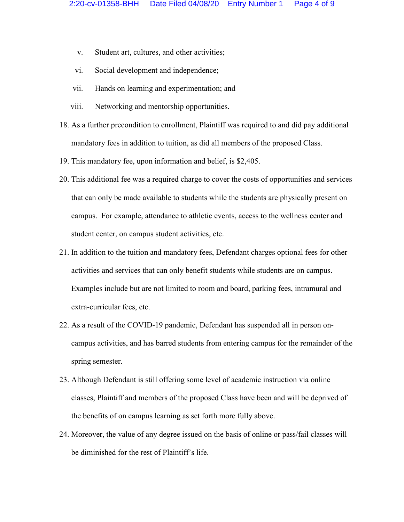- v. Student art, cultures, and other activities;
- vi. Social development and independence;
- vii. Hands on learning and experimentation; and
- 
- viii. Networking and mentorship opportunities.<br>18. As a further precondition to enrollment, Plaintiff was required to and did pay additional mandatory fees in addition to tuition, as did all members of the proposed Class.<br>19. This mandatory fee, upon information and belief, is \$2,405.
- 
- 20. This additional fee was a required charge to cover the costs of opportunities and services that can only be made available to students while the students are physically present on campus. For example, attendance to athletic events, access to the wellness center and student center, on campus student activities, etc.
- 21. In addition to the tuition and mandatory fees, Defendant charges optional fees for other activities and services that can only benefit students while students are on campus. Examples include but are not limited to room and board, parking fees, intramural and extra-curricular fees, etc.
- 22. As a result of the COVID-19 pandemic, Defendant has suspended all in person oncampus activities, and has barred students from entering campus for the remainder of the spring semester.
- 23. Although Defendant is still offering some level of academic instruction via online classes, Plaintiff and members of the proposed Class have been and will be deprived of the benefits of on campus learning as set forth more fully above.
- 24. Moreover, the value of any degree issued on the basis of online or pass/fail classes will be diminished for the rest of Plaintiff's life.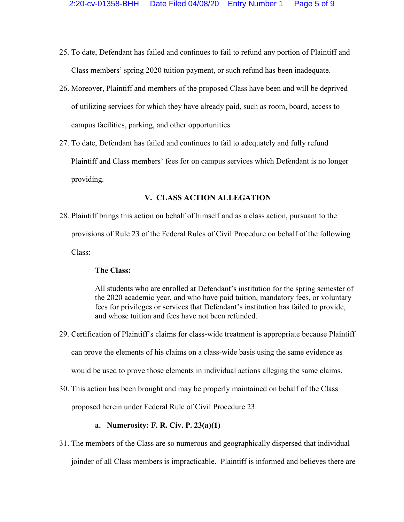- 25. To date, Defendant has failed and continues to fail to refund any portion of Plaintiff and Class members' spring 2020 tuition payment, or such refund has been inadequate.
- 26. Moreover, Plaintiff and members of the proposed Class have been and will be deprived of utilizing services for which they have already paid, such as room, board, access to campus facilities, parking, and other opportunities. 27. To date, Defendant has failed and continues to fail to adequately and fully refund
- Plaintiff and Class members' fees for on campus services which Defendant is no longer providing.

## V. CLASS ACTION ALLEGATION

28. Plaintiff brings this action on behalf of himself and as a class action, pursuant to the provisions of Rule 23 of the Federal Rules of Civil Procedure on behalf of the following Class:

#### The Class:

All students who are enrolled at Defendant's institution for the spring semester of the 2020 academic year, and who have paid tuition, mandatory fees, or voluntary fees for privileges or services that Defendant's institution has failed to provide, and whose tuition and fees have not been refunded.

29. Certification of Plaintiff's claims for class-wide treatment is appropriate because Plaintiff can prove the elements of his claims on a class-wide basis using the same evidence as

would be used to prove those elements in individual actions alleging the same claims. 30. This action has been brought and may be properly maintained on behalf of the Class

proposed herein under Federal Rule of Civil Procedure 23.

#### a. Numerosity: F. R. Civ. P. 23(a)(1)

31. The members of the Class are so numerous and geographically dispersed that individual joinder of all Class members is impracticable. Plaintiff is informed and believes there are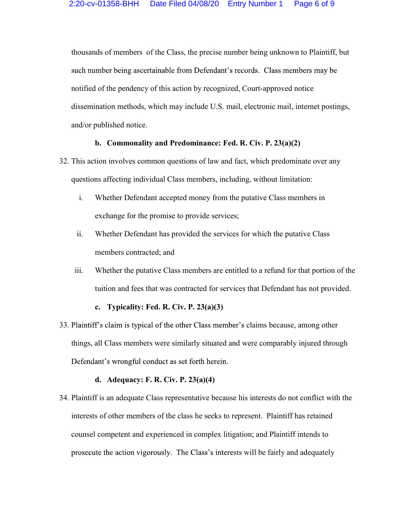thousands of members of the Class, the precise number being unknown to Plaintiff, but such number being ascertainable from Defendant's records. Class members may be notified of the pendency of this action by recognized, Court-approved notice dissemination methods, which may include U.S. mail, electronic mail, internet postings, and/or published notice.

## b. Commonality and Predominance: Fed. R. Civ. P. 23(a)(2)

- 32. This action involves common questions of law and fact, which predominate over any questions affecting individual Class members, including, without limitation:
	- i. Whether Defendant accepted money from the putative Class members in exchange for the promise to provide services;
	- ii. Whether Defendant has provided the services for which the putative Class members contracted; and
	- iii. Whether the putative Class members are entitled to a refund for that portion of the tuition and fees that was contracted for services that Defendant has not provided.

#### c. Typicality: Fed. R. Civ. P.  $23(a)(3)$

33. Plaintiff's claim is typical of the other Class member's claims because, among other things, all Class members were similarly situated and were comparably injured through Defendant's wrongful conduct as set forth herein.

#### d. Adequacy: F. R. Civ. P. 23(a)(4)

34. Plaintiff is an adequate Class representative because his interests do not conflict with the interests of other members of the class he seeks to represent. Plaintiff has retained counsel competent and experienced in complex litigation; and Plaintiff intends to prosecute the action vigorously. The Class's interests will be fairly and adequately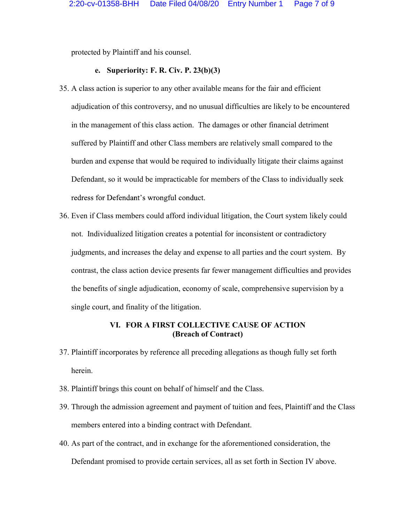protected by Plaintiff and his counsel.

#### e. Superiority: F. R. Civ. P. 23(b)(3)

- 35. A class action is superior to any other available means for the fair and efficient adjudication of this controversy, and no unusual difficulties are likely to be encountered in the management of this class action. The damages or other financial detriment suffered by Plaintiff and other Class members are relatively small compared to the burden and expense that would be required to individually litigate their claims against Defendant, so it would be impracticable for members of the Class to individually seek redress for Defendant's wrongful conduct.
- 36. Even if Class members could afford individual litigation, the Court system likely could not. Individualized litigation creates a potential for inconsistent or contradictory judgments, and increases the delay and expense to all parties and the court system. By contrast, the class action device presents far fewer management difficulties and provides the benefits of single adjudication, economy of scale, comprehensive supervision by a single court, and finality of the litigation.

## VI. FOR A FIRST COLLECTIVE CAUSE OF ACTION (Breach of Contract)

- 37. Plaintiff incorporates by reference all preceding allegations as though fully set forth herein.
- 
- 38. Plaintiff brings this count on behalf of himself and the Class. 39. Through the admission agreement and payment of tuition and fees, Plaintiff and the Class members entered into a binding contract with Defendant.<br>40. As part of the contract, and in exchange for the aforementioned consideration, the
- Defendant promised to provide certain services, all as set forth in Section IV above.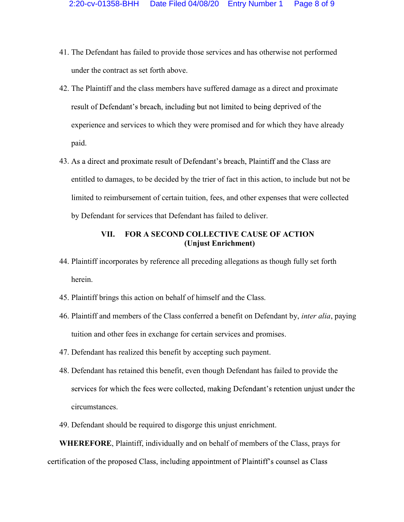- 41. The Defendant has failed to provide those services and has otherwise not performed under the contract as set forth above.
- 42. The Plaintiff and the class members have suffered damage as a direct and proximate result of Defendant's breach, including but not limited to being deprived of the experience and services to which they were promised and for which they have already paid.
- 43. As a direct and proximate result of Defendant's breach, Plaintiff and the Class are entitled to damages, to be decided by the trier of fact in this action, to include but not be limited to reimbursement of certain tuition, fees, and other expenses that were collected by Defendant for services that Defendant has failed to deliver.

## VII. FOR A SECOND COLLECTIVE CAUSE OF ACTION (Unjust Enrichment)

- 44. Plaintiff incorporates by reference all preceding allegations as though fully set forth herein.
- 
- 45. Plaintiff brings this action on behalf of himself and the Class.<br>46. Plaintiff and members of the Class conferred a benefit on Defendant by, *inter alia*, paying tuition and other fees in exchange for certain services and promises.<br>47. Defendant has realized this benefit by accepting such payment.<br>48. Defendant has retained this benefit, even though Defendant has failed to provide
- 
- services for which the fees were collected, making Defendant's retention unjust under the circumstances. 49. Defendant should be required to disgorge this unjust enrichment.
- 

WHEREFORE, Plaintiff, individually and on behalf of members of the Class, prays for certification of the proposed Class, including appointment of Plaintiff's counsel as Class